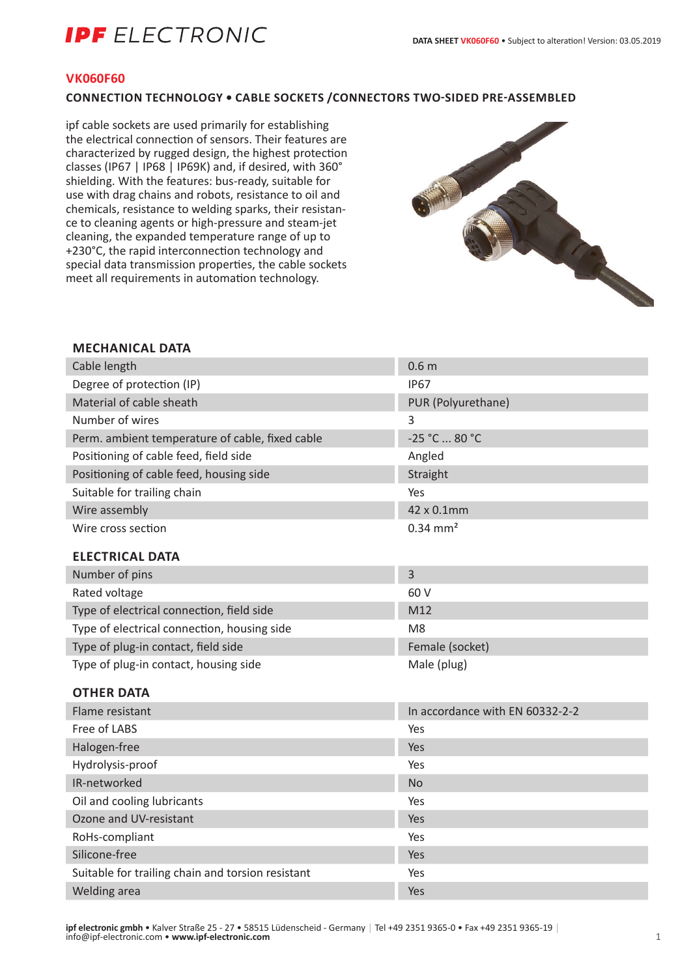# **IPF** ELECTRONIC

## **VK060F60**

## **CONNECTION TECHNOLOGY • CABLE SOCKETS /CONNECTORS TWO-SIDED PRE-ASSEMBLED**

ipf cable sockets are used primarily for establishing the electrical connection of sensors. Their features are characterized by rugged design, the highest protection classes (IP67 | IP68 | IP69K) and, if desired, with 360° shielding. With the features: bus-ready, suitable for use with drag chains and robots, resistance to oil and chemicals, resistance to welding sparks, their resistance to cleaning agents or high-pressure and steam-jet cleaning, the expanded temperature range of up to +230°C, the rapid interconnection technology and special data transmission properties, the cable sockets meet all requirements in automation technology.



## **MECHANICAL DATA**

| Cable length                                    | 0.6 <sub>m</sub>                |
|-------------------------------------------------|---------------------------------|
| Degree of protection (IP)                       | <b>IP67</b>                     |
| Material of cable sheath                        | PUR (Polyurethane)              |
| Number of wires                                 | 3                               |
| Perm. ambient temperature of cable, fixed cable | -25 °C  80 °C                   |
| Positioning of cable feed, field side           | Angled                          |
| Positioning of cable feed, housing side         | Straight                        |
| Suitable for trailing chain                     | Yes                             |
| Wire assembly                                   | 42 x 0.1mm                      |
| Wire cross section                              | $0.34$ mm <sup>2</sup>          |
| <b>ELECTRICAL DATA</b>                          |                                 |
| Number of pins                                  | 3                               |
| Rated voltage                                   | 60 V                            |
| Type of electrical connection, field side       | M12                             |
| Type of electrical connection, housing side     | M <sub>8</sub>                  |
| Type of plug-in contact, field side             | Female (socket)                 |
| Type of plug-in contact, housing side           | Male (plug)                     |
| <b>OTHER DATA</b>                               |                                 |
| Flame resistant                                 | In accordance with EN 60332-2-2 |
| Free of LABS                                    | Yes                             |
| Halogen-free                                    | Yes                             |
| Hydrolysis-proof                                | Yes                             |
| IR-networked                                    | <b>No</b>                       |
| Oil and cooling lubricants                      | Yes                             |
| Ozone and UV-resistant                          | Yes                             |
| RoHs-compliant                                  | Yes                             |
| Silicone-free                                   | Yes                             |

Suitable for trailing chain and torsion resistant Yes Welding area Yes